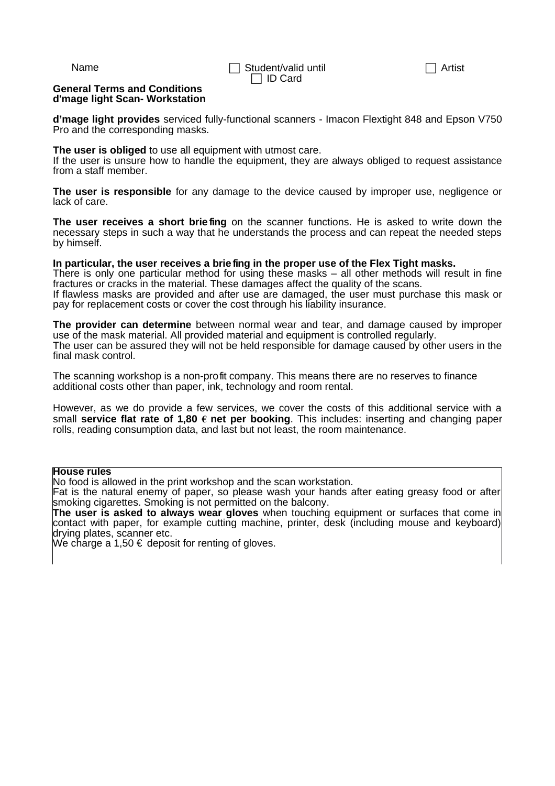## **General Terms and Conditions d'mage light Scan- Workstation**

**d'mage light provides** serviced fully-functional scanners - Imacon Flextight 848 and Epson V750 Pro and the corresponding masks.

## **The user is obliged** to use all equipment with utmost care.

If the user is unsure how to handle the equipment, they are always obliged to request assistance from a staff member.

**The user is responsible** for any damage to the device caused by improper use, negligence or lack of care.

**The user receives a short brie fing** on the scanner functions. He is asked to write down the necessary steps in such a way that he understands the process and can repeat the needed steps by himself.

## **In particular, the user receives a brie fing in the proper use of the Flex Tight masks.**

There is only one particular method for using these masks – all other methods will result in fine fractures or cracks in the material. These damages affect the quality of the scans.

If flawless masks are provided and after use are damaged, the user must purchase this mask or pay for replacement costs or cover the cost through his liability insurance.

**The provider can determine** between normal wear and tear, and damage caused by improper use of the mask material. All provided material and equipment is controlled regularly. The user can be assured they will not be held responsible for damage caused by other users in the final mask control.

The scanning workshop is a non-profit company. This means there are no reserves to finance additional costs other than paper, ink, technology and room rental.

However, as we do provide a few services, we cover the costs of this additional service with a small **service flat rate of 1,80 € net per booking**. This includes: inserting and changing paper rolls, reading consumption data, and last but not least, the room maintenance.

## **House rules**

No food is allowed in the print workshop and the scan workstation.

Fat is the natural enemy of paper, so please wash your hands after eating greasy food or after smoking cigarettes. Smoking is not permitted on the balcony.

**The user is asked to always wear gloves** when touching equipment or surfaces that come in contact with paper, for example cutting machine, printer, desk (including mouse and keyboard) drying plates, scanner etc.

We charge a 1,50  $\epsilon$  deposit for renting of gloves.